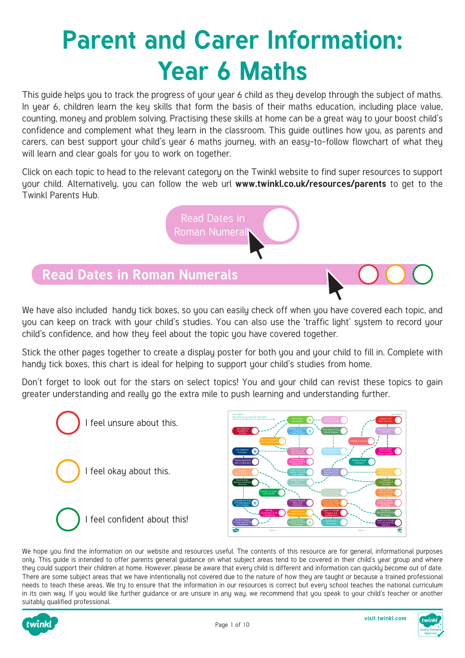# **Parent and Carer Information: Year 6 Maths**

This guide helps you to track the progress of your year 6 child as they develop through the subject of maths. In year 6, children learn the key skills that form the basis of their maths education, including place value, counting, money and problem solving. Practising these skills at home can be a great way to your boost child's confidence and complement what they learn in the classroom. This guide outlines how you, as parents and carers, can best support your child's year 6 maths journey, with an easy-to-follow flowchart of what they will learn and clear goals for you to work on together.

Click on each topic to head to the relevant category on the Twinkl website to find super resources to support your child. Alternatively, you can follow the web url **[www.twinkl.co.uk/resources/parents](https://www.twinkl.co.uk/resources/parents)** to get to the Twinkl Parents Hub.

> Read Dates in Roman Numeral

#### **Read Dates in Roman Numerals**

We have also included handy tick boxes, so you can easily check off when you have covered each topic, and uou can keep on track with your child's studies. You can also use the 'traffic light' sustem to record your child's confidence, and how they feel about the topic you have covered together.

Stick the other pages together to create a display poster for both you and your child to fill in. Complete with handy tick boxes, this chart is ideal for helping to support your child's studies from home.

Don't forget to look out for the stars on select topics! You and your child can revist these topics to gain greater understanding and really go the extra mile to push learning and understanding further.





We hope you find the information on our website and resources useful. The contents of this resource are for general, informational purposes only. This guide is intended to offer parents general guidance on what subject areas tend to be covered in their child's year group and where they could support their children at home. However, please be aware that every child is different and information can quickly become out of date. There are some subject areas that we have intentionally not covered due to the nature of how they are taught or because a trained professional needs to teach these areas. We try to ensure that the information in our resources is correct but every school teaches the national curriculum in its own way. If you would like further guidance or are unsure in any way, we recommend that you speak to your child's teacher or another suitably qualified professional.

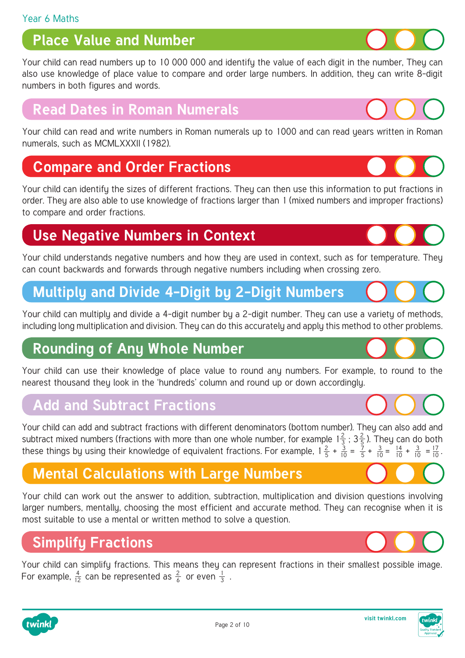# **Place Value and Number**

[Your child can read numbers up to 10 000 000 and identify the value of each digit in the number, They can](https://www.twinkl.co.uk/resources/maths-school-years-parents/number-and-place-value-maths-main-subjects-parents/year-6-ages-10-11-number-and-place-value-maths-main-subjects-parents)  also use knowledge of place value to compare and order large numbers. In addition, they can write 8-digit numbers in both figures and words.

### **Read Dates in Roman Numerals**

[Your child can read and write numbers in Roman numerals up to 1000 and can read years written in Roman](https://www.twinkl.co.uk/resources/age-specific-resources-parents/maths-school-years-parents/roman-numerals-maths-main-subjects-parents)  numerals, such as MCMLXXXII (1982).

#### **Compare and Order Fractions**

[Your child can identify the sizes of different fractions. They can then use this information to put fractions in](https://www.twinkl.co.uk/resources/maths-school-years-parents/fractions-maths-main-subjects-parents/fractions-year-6-ages-10-11-fractions-maths-main-subjects-parents)  order. They are also able to use knowledge of fractions larger than 1 (mixed numbers and improper fractions) to compare and order fractions.

# **Use Negative Numbers in Context**

[Your child understands negative numbers and how they are used in context, such as for temperature. They](https://www.twinkl.co.uk/resources/maths-school-years-parents/negative-numbers-maths-main-subjects-parents/negative-numbers-year-6-ages-10-11-maths-main-subjects-parents)  can count backwards and forwards through negative numbers including when crossing zero.

# **[Multiply and Divide 4-Digit by 2-Digit Numbers](https://www.twinkl.co.uk/resources/maths-school-years-parents/multiplication-and-division-maths-main-subjects-parents/year-6-ages-10-11-multiplication-and-division-maths-main-subjects-parents)**

Your child can multiply and divide a 4-digit number by a 2-digit number. They can use a variety of methods, including long multiplication and division. They can do this accurately and apply this method to other problems.

### **Rounding of Any Whole Number**

[Your child can use their knowledge of place value to round any numbers. For example, to round to the](https://www.twinkl.co.uk/resources/age-specific-resources-parents/maths-school-years-parents/rounding-numbers-maths-main-subjects-parents)  nearest thousand they look in the 'hundreds' column and round up or down accordingly.

#### **Add and Subtract Fractions**

[Your child can add and subtract fractions with different denominators \(bottom number\). They can also add and](https://www.twinkl.co.uk/resources/maths-school-years-parents/fractions-maths-main-subjects-parents/fractions-year-6-ages-10-11-fractions-maths-main-subjects-parents)  subtract mixed numbers (fractions with more than one whole number, for example  $1\frac{2}{3}$ ;  $3\frac{2}{5}$ ). They can do both these things by using their knowledge of equivalent fractions. For example,  $1\frac{2}{5} + \frac{3}{10} = \frac{7}{5} + \frac{3}{10} = \frac{14}{10} + \frac{3}{10} = \frac{17}{10}$ . 3 2 5 5 7 5 3 10 3 10 3 10 14 10 17 10

# **[Mental Calculations with Large Numbers](https://www.twinkl.co.uk/resources/maths-school-years-parents/addition-and-subtraction-maths-main-subjects-parents/addition-and-subtraction-year-6-ages-10-11-parents)**

Your child can work out the answer to addition, subtraction, multiplication and division questions involving larger numbers, mentally, choosing the most efficient and accurate method. They can recognise when it is most suitable to use a mental or written method to solve a question.

# **Simplify Fractions**

2 6 1 3 4 For example,  $\frac{4}{12}$  can be represented as  $\frac{2}{6}$  or even  $\frac{1}{3}$  . [Your child can simplify fractions. This means they can represent fractions in their smallest possible image.](https://www.twinkl.co.uk/resources/maths-school-years-parents/fractions-maths-main-subjects-parents/fractions-year-6-ages-10-11-fractions-maths-main-subjects-parents) 

Page 2 of 10













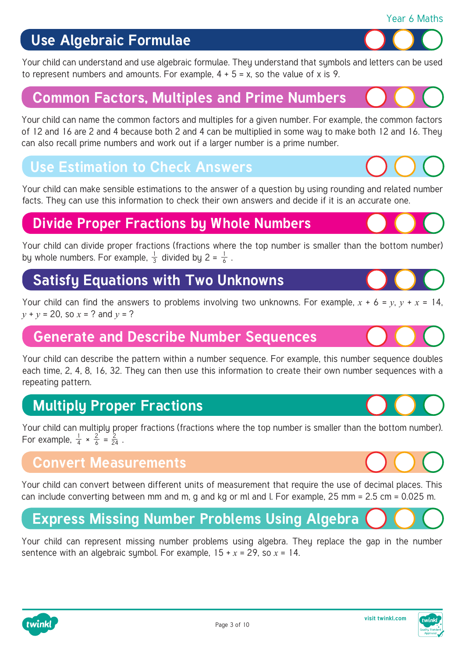

[Your child can understand and use algebraic formulae. They understand that symbols and letters can be used](https://www.twinkl.co.uk/resources/maths-school-years-parents/algebra-maths-main-subjects-parents/algebra-year-6-ages-10-11-maths-main-subjects-parents) to represent numbers and amounts. For example,  $4 + 5 = x$ , so the value of x is 9.

### **[Common Factors, Multiples and Prime Numbers](https://www.twinkl.co.uk/resources/maths-school-years-parents/prime-numbers-maths-main-subjects-parents/prime-numbers-year-6-ages-10-11-maths-main-subjects-parents)**

Your child can name the common factors and multiples for a given number. For example, the common factors of 12 and 16 are 2 and 4 because both 2 and 4 can be multiplied in some way to make both 12 and 16. They can also recall prime numbers and work out if a larger number is a prime number.

#### **Use Estimation to Check Answers**

[Your child can make sensible estimations to the answer of a question by using rounding and related number](https://www.twinkl.co.uk/resources/age-specific-resources-parents/maths-school-years-parents/rounding-numbers-maths-main-subjects-parents) facts. They can use this information to check their own answers and decide if it is an accurate one.

### **[Divide Proper Fractions by Whole Numbers](https://www.twinkl.co.uk/resources/maths-school-years-parents/fractions-maths-main-subjects-parents/fractions-year-6-ages-10-11-fractions-maths-main-subjects-parents)**

1 3 1 by whole numbers. For example,  $\frac{1}{3}$  divided by 2 =  $\frac{1}{6}$ . Your child can divide proper fractions (fractions where the top number is smaller than the bottom number)

#### **[Satisfy Equations with Two Unknowns](https://www.twinkl.co.uk/resources/maths-school-years-parents/algebra-maths-main-subjects-parents/algebra-year-6-ages-10-11-maths-main-subjects-parents)**

Your child can find the answers to problems involving two unknowns. For example,  $x + 6 = y$ ,  $y + x = 14$ , *y* + *y* = 20, so *x* = ? and *y* = ?

#### **[Generate and Describe Number Sequences](https://www.twinkl.co.uk/resources/maths-school-years-parents/patterns-and-sequences-maths-main-subjects-parents/patterns-and-sequences-year-6-ages-10-11-maths-main-subjects-parents)**

Your child can describe the pattern within a number sequence. For example, this number sequence doubles each time, 2, 4, 8, 16, 32. They can then use this information to create their own number sequences with a repeating pattern.

# **Multiply Proper Fractions**

[Your child can multiply proper fractions \(fractions where the top number is smaller than the bottom number\).](https://www.twinkl.co.uk/resources/maths-school-years-parents/fractions-maths-main-subjects-parents/fractions-year-6-ages-10-11-fractions-maths-main-subjects-parents) For example,  $\frac{1}{4} \times \frac{2}{6} = \frac{2}{24}$ . 4 2 6 2 24

#### **Convert Measurements**

[Your child can convert between different units of measurement that require the use of decimal places. This](https://www.twinkl.co.uk/resources/maths-school-years-parents/measurement-dimensions-mass-capacity-maths-main-subjects-parents/measurement-dimensions-mass-and-capacity-year-6-ages-10-11-maths-main-subjects-parents) can include converting between mm and m, g and kg or ml and l. For example, 25 mm = 2.5 cm = 0.025 m.

# **[Express Missing Number Problems Using Algebra](https://www.twinkl.co.uk/resources/maths-school-years-parents/algebra-maths-main-subjects-parents/algebra-year-6-ages-10-11-maths-main-subjects-parents)**

Your child can represent missing number problems using algebra. They replace the gap in the number sentence with an algebraic symbol. For example,  $15 + x = 29$ , so  $x = 14$ .









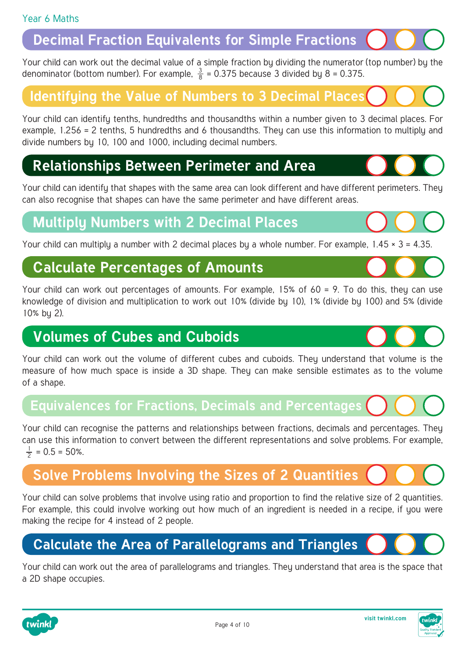#### **[Decimal Fraction Equivalents for Simple Fractions](https://www.twinkl.co.uk/resources/maths-school-years-parents/fractions-maths-main-subjects-parents/fractions-year-6-ages-10-11-fractions-maths-main-subjects-parents)**

3 denominator (bottom number). For example,  $\frac{3}{8}$  = 0.375 because 3 divided by 8 = 0.375. Your child can work out the decimal value of a simple fraction by dividing the numerator (top number) by the

#### **[Identifying the Value of Numbers to 3 Decimal Places](https://www.twinkl.co.uk/resources/maths-school-years-parents/decimals-maths-main-subjects-parents/decimals-year-6-ages-10-11-maths-main-subjects-parents)**

Your child can identify tenths, hundredths and thousandths within a number given to 3 decimal places. For example, 1.256 = 2 tenths, 5 hundredths and 6 thousandths. They can use this information to multiply and divide numbers by 10, 100 and 1000, including decimal numbers.

#### **[Relationships Between Perimeter and Area](https://www.twinkl.co.uk/resources/maths-school-years-parents/area-and-perimeter-maths-main-subjects-parents/area-and-perimeter-year-6-ages-10-11-maths-main-subjects-parents)**

Your child can identifu that shapes with the same area can look different and have different perimeters. They can also recognise that shapes can have the same perimeter and have different areas.

#### **[Multiply Numbers with 2 Decimal Places](https://www.twinkl.co.uk/resources/maths-school-years-parents/decimals-maths-main-subjects-parents/decimals-year-6-ages-10-11-maths-main-subjects-parents)**

Your child can multiply a number with 2 decimal places by a whole number. For example,  $1.45 \times 3 = 4.35$ .

#### **Calculate Percentages of Amounts**

[Your child can work out percentages of amounts. For example, 15% of 60 = 9. To do this, they can use](https://www.twinkl.co.uk/resources/maths-school-years-parents/fractions-maths-main-subjects-parents/fractions-year-6-ages-10-11-fractions-maths-main-subjects-parents)  knowledge of division and multiplication to work out 10% (divide by 10), 1% (divide by 100) and 5% (divide 10% by 2).

#### **Volumes of Cubes and Cuboids**

Your child can work out the volume of different cubes and cuboids. Theu understand that volume is the measure of how much space is inside a 3D shape. They can make sensible estimates as to the volume of a shape.

#### **[Equivalences for Fractions, Decimals and Percentages](https://www.twinkl.co.uk/resources/maths-school-years-parents/decimals-maths-main-subjects-parents/decimals-year-6-ages-10-11-maths-main-subjects-parents)**

Your child can recognise the patterns and relationships between fractions, decimals and percentages. They can use this information to convert between the different representations and solve problems. For example,  $\frac{1}{2}$  = 0.5 = 50%. 2

# **[Solve Problems Involving the Sizes of 2 Quantities](https://www.twinkl.co.uk/resource/t2-m-214-recipes-ratios-and-proportions-worksheets)**

Your child can solve problems that involve using ratio and proportion to find the relative size of 2 quantities. For example, this could involve working out how much of an ingredient is needed in a recipe, if you were making the recipe for 4 instead of 2 people.

#### **[Calculate the Area of Parallelograms and Triangles](https://www.twinkl.co.uk/resources/maths-school-years-parents/area-and-perimeter-maths-main-subjects-parents/area-and-perimeter-year-6-ages-10-11-maths-main-subjects-parents)**

Your child can work out the area of parallelograms and triangles. They understand that area is the space that a 2D shape occupies.







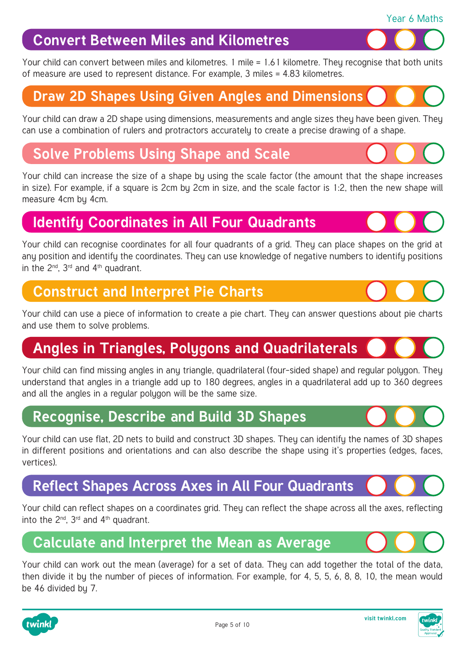

# **Convert Between Miles and Kilometres**

Your child can convert between miles and kilometres. 1 mile = 1.61 kilometre. They recognise that both units of measure are used to represent distance. For example, 3 miles = 4.83 kilometres.

# **[Draw 2D Shapes Using Given Angles and Dimensions](https://www.twinkl.co.uk/resources/age-specific-resources-parents/maths-school-years-parents/2d-shapes-maths-main-subjects-parents)**

Your child can draw a 2D shape using dimensions, measurements and angle sizes they have been given. They can use a combination of rulers and protractors accurately to create a precise drawing of a shape.

# **Solve Problems Using Shape and Scale**

[Your child can increase the size of a shape by using the scale factor \(the amount that the shape increases](https://www.twinkl.co.uk/resource/t2-m-1657-problems-involving-scaling-activity-sheet)  in size). For example, if a square is 2cm by 2cm in size, and the scale factor is 1:2, then the new shape will measure 4cm by 4cm.

# **[Identify Coordinates in All Four Quadrants](https://www.twinkl.co.uk/resources/maths-school-years-parents/angles-coordinates-maths-main-subjects-parents/angles-and-coordinates-year-6-ages-10-11-maths-main-subjects-parents)**

Your child can recognise coordinates for all four quadrants of a grid. They can place shapes on the grid at any position and identify the coordinates. They can use knowledge of negative numbers to identify positions in the  $2^{nd}$ ,  $3^{rd}$  and  $4^{th}$  quadrant.

#### **Construct and Interpret Pie Charts**

[Your child can use a piece of information to create a pie chart. They can answer questions about pie charts](https://www.twinkl.co.uk/resources/maths-school-years-parents/statistics-and-data-handling-maths-main-subjects-parents/statistics-and-data-handling-year-6-ages-10-11-maths-main-subjects-parents)  and use them to solve problems.

# **[Angles in Triangles, Polygons and Quadrilaterals](https://www.twinkl.co.uk/resources/maths-school-years-parents/angles-coordinates-maths-main-subjects-parents/angles-and-coordinates-year-6-ages-10-11-maths-main-subjects-parents)**

Your child can find missing angles in any triangle, quadrilateral (four-sided shape) and regular polygon. They understand that angles in a triangle add up to 180 degrees, angles in a quadrilateral add up to 360 degrees and all the angles in a regular polygon will be the same size.

# **[Recognise, Describe and Build 3D Shapes](https://www.twinkl.co.uk/resources/age-specific-resources-parents/maths-school-years-parents/3d-shapes-maths-main-subjects-parents)**

Your child can use flat, 2D nets to build and construct 3D shapes. They can identify the names of 3D shapes in different positions and orientations and can also describe the shape using it's properties (edges, faces, vertices).

# **[Reflect Shapes Across Axes in All Four Quadrants](https://www.twinkl.co.uk/resources/maths-school-years-parents/translation-rotation-and-reflection-maths-main-subjects-parents/year-6-ages-10-11-translation-rotation-and-reflection-maths-main-subjects-parents)**

Your child can reflect shapes on a coordinates grid. They can reflect the shape across all the axes, reflecting into the  $2^{nd}$ ,  $3^{rd}$  and  $4^{th}$  quadrant.

# **[Calculate and Interpret the Mean as Average](https://www.twinkl.co.uk/resources/maths-school-years-parents/statistics-and-data-handling-maths-main-subjects-parents/statistics-and-data-handling-year-6-ages-10-11-maths-main-subjects-parents)**

Your child can work out the mean (average) for a set of data. They can add together the total of the data, then divide it by the number of pieces of information. For example, for 4, 5, 5, 6, 8, 8, 10, the mean would be 46 divided by 7.

Page 5 of 10







Year 6 Maths

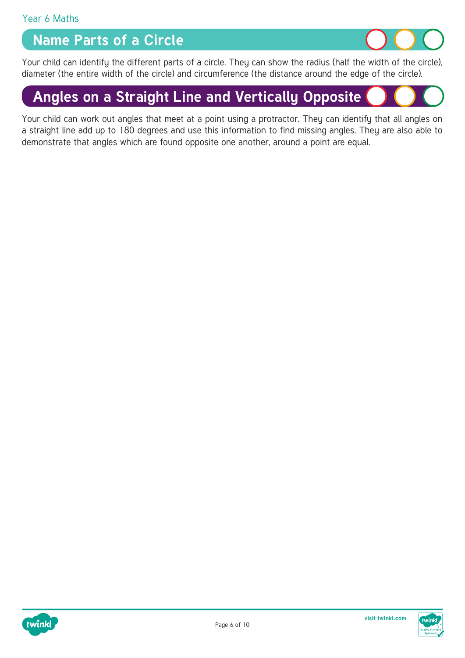#### **Name Parts of a Circle**



[Your child can identify the different parts of a circle. They can show the radius \(half the width of the circle\),](https://www.twinkl.co.uk/resource/t2-m-2420-year-6-parts-of-a-circle-display-poster)  diameter (the entire width of the circle) and circumference (the distance around the edge of the circle).

# **[Angles on a Straight Line and Vertically Opposite](https://www.twinkl.co.uk/resources/maths-school-years-parents/angles-coordinates-maths-main-subjects-parents/angles-and-coordinates-year-6-ages-10-11-maths-main-subjects-parents)**

Your child can work out angles that meet at a point using a protractor. They can identify that all angles on a straight line add up to 180 degrees and use this information to find missing angles. They are also able to demonstrate that angles which are found opposite one another, around a point are equal.

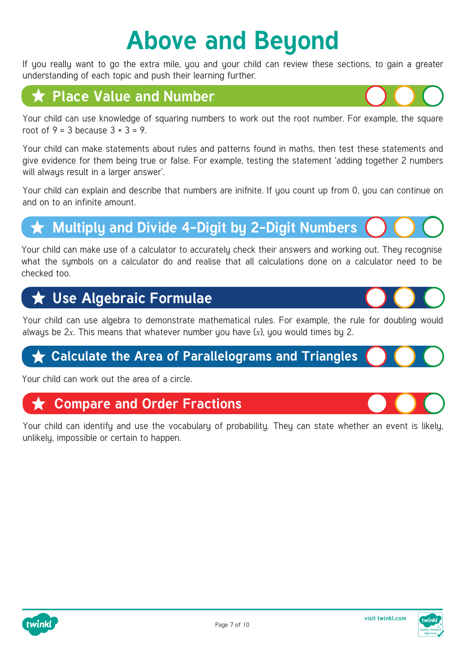# **Above and Beyond**

If you really want to go the extra mile, you and your child can review these sections, to gain a greater understanding of each topic and push their learning further.

# **Place Value and Number**

[Your child can use knowledge of squaring numbers to work out the root number. For example, the square](https://www.twinkl.co.uk/resources/maths-school-years-parents/number-and-place-value-maths-main-subjects-parents/year-6-ages-10-11-number-and-place-value-maths-main-subjects-parents)  root of  $9 = 3$  because  $3 \times 3 = 9$ .

Your child can make statements about rules and patterns found in maths, then test these statements and give evidence for them being true or false. For example, testing the statement 'adding together 2 numbers will always result in a larger answer'.

Your child can explain and describe that numbers are inifnite. If you count up from 0, you can continue on and on to an infinite amount.

# **[Multiply and Divide 4-Digit by 2-Digit Numbers](https://www.twinkl.co.uk/resources/maths-school-years-parents/multiplication-and-division-maths-main-subjects-parents/year-6-ages-10-11-multiplication-and-division-maths-main-subjects-parents)**

Your child can make use of a calculator to accurately check their answers and working out. They recognise what the symbols on a calculator do and realise that all calculations done on a calculator need to be checked too.

# **Use Algebraic Formulae**

[Your child can use algebra to demonstrate mathematical rules. For example, the rule for doubling would](https://www.twinkl.co.uk/resources/maths-school-years-parents/algebra-maths-main-subjects-parents/algebra-year-6-ages-10-11-maths-main-subjects-parents)  always be 2*x*. This means that whatever number you have (*x*), you would times by 2.

#### **★ [Calculate the Area of Parallelograms and Triangles](https://www.twinkl.co.uk/resources/maths-school-years-parents/area-and-perimeter-maths-main-subjects-parents/area-and-perimeter-year-6-ages-10-11-maths-main-subjects-parents)**

Your child can work out the area of a circle.

#### **Compare and Order Fractions**

[Your child can identify and use the vocabulary of probability. They can state whether an event is likely,](https://www.twinkl.co.uk/resources/maths-school-years-parents/fractions-maths-main-subjects-parents/fractions-year-6-ages-10-11-fractions-maths-main-subjects-parents)  unlikely, impossible or certain to happen.



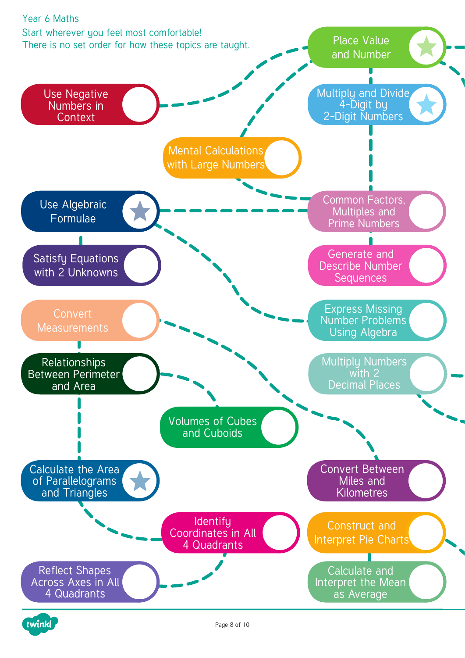

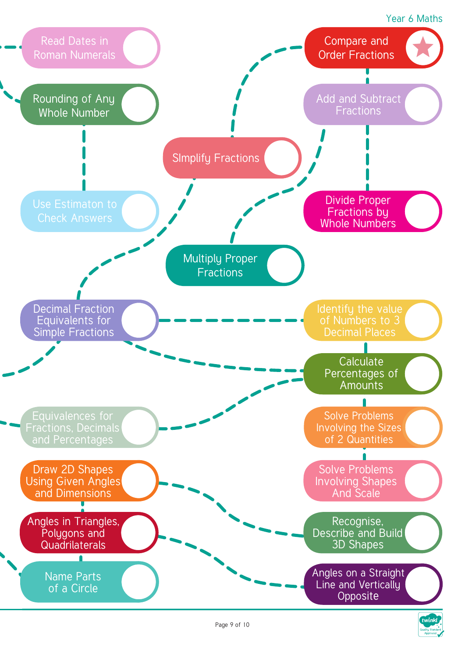